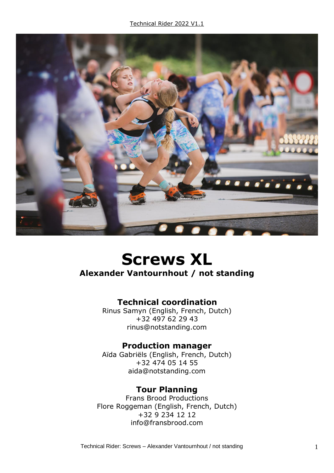

# **Screws XL**

#### **Alexander Vantournhout / not standing**

## **Technical coordination**

Rinus Samyn (English, French, Dutch) +32 497 62 29 43 rinus@notstanding.com

#### **Production manager**

Aïda Gabriëls (English, French, Dutch) +32 474 05 14 55 aida@notstanding.com

## **Tour Planning**

Frans Brood Productions Flore Roggeman (English, French, Dutch) +32 9 234 12 12 info@fransbrood.com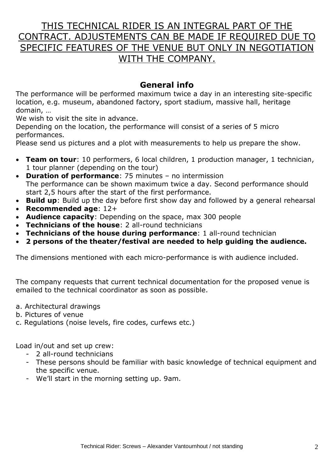# THIS TECHNICAL RIDER IS AN INTEGRAL PART OF THE CONTRACT. ADJUSTEMENTS CAN BE MADE IF REQUIRED DUE TO SPECIFIC FEATURES OF THE VENUE BUT ONLY IN NEGOTIATION WITH THE COMPANY.

## **General info**

The performance will be performed maximum twice a day in an interesting site-specific location, e.g. museum, abandoned factory, sport stadium, massive hall, heritage domain, …

We wish to visit the site in advance.

Depending on the location, the performance will consist of a series of 5 micro performances.

Please send us pictures and a plot with measurements to help us prepare the show.

- **Team on tour**: 10 performers, 6 local children, 1 production manager, 1 technician, 1 tour planner (depending on the tour)
- **Duration of performance**: 75 minutes no intermission The performance can be shown maximum twice a day. Second performance should start 2,5 hours after the start of the first performance.
- **Build up**: Build up the day before first show day and followed by a general rehearsal
- **Recommended age**: 12+
- **Audience capacity**: Depending on the space, max 300 people
- **Technicians of the house**: 2 all-round technicians
- **Technicians of the house during performance**: 1 all-round technician
- **2 persons of the theater/festival are needed to help guiding the audience.**

The dimensions mentioned with each micro-performance is with audience included.

The company requests that current technical documentation for the proposed venue is emailed to the technical coordinator as soon as possible.

- a. Architectural drawings
- b. Pictures of venue
- c. Regulations (noise levels, fire codes, curfews etc.)

Load in/out and set up crew:

- 2 all-round technicians
- These persons should be familiar with basic knowledge of technical equipment and the specific venue.
- We'll start in the morning setting up. 9am.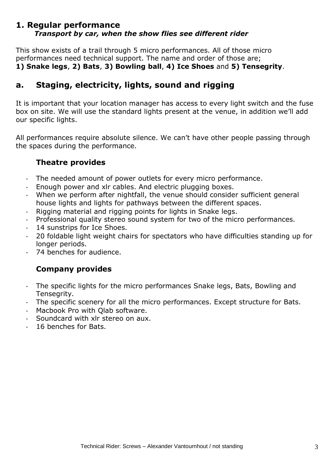#### **1. Regular performance** *Transport by car, when the show flies see different rider*

This show exists of a trail through 5 micro performances. All of those micro performances need technical support. The name and order of those are; **1) Snake legs**, **2) Bats**, **3) Bowling ball**, **4) Ice Shoes** and **5) Tensegrity**.

## **a. Staging, electricity, lights, sound and rigging**

It is important that your location manager has access to every light switch and the fuse box on site. We will use the standard lights present at the venue, in addition we'll add our specific lights.

All performances require absolute silence. We can't have other people passing through the spaces during the performance.

#### **Theatre provides**

- The needed amount of power outlets for every micro performance.
- Enough power and xlr cables. And electric plugging boxes.
- When we perform after nightfall, the venue should consider sufficient general house lights and lights for pathways between the different spaces.
- Rigging material and rigging points for lights in Snake legs.
- Professional quality stereo sound system for two of the micro performances.
- 14 sunstrips for Ice Shoes.
- 20 foldable light weight chairs for spectators who have difficulties standing up for longer periods.
- 74 benches for audience.

#### **Company provides**

- The specific lights for the micro performances Snake legs, Bats, Bowling and Tensegrity.
- The specific scenery for all the micro performances. Except structure for Bats.
- Macbook Pro with Olab software.
- Soundcard with xlr stereo on aux.
- 16 benches for Bats.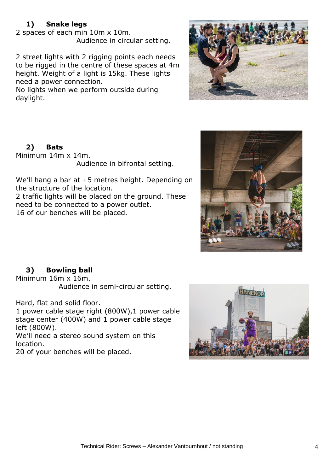#### **1) Snake legs**

2 spaces of each min 10m x 10m. Audience in circular setting.

2 street lights with 2 rigging points each needs to be rigged in the centre of these spaces at 4m height. Weight of a light is 15kg. These lights need a power connection.

No lights when we perform outside during daylight.



## **2) Bats**

Minimum 14m x 14m. Audience in bifrontal setting.

We'll hang a bar at  $\pm$  5 metres height. Depending on the structure of the location.

2 traffic lights will be placed on the ground. These need to be connected to a power outlet. 16 of our benches will be placed.



#### **3) Bowling ball**

Minimum 16m x 16m. Audience in semi-circular setting.

Hard, flat and solid floor.

1 power cable stage right (800W),1 power cable stage center (400W) and 1 power cable stage left (800W).

We'll need a stereo sound system on this location.

20 of your benches will be placed.

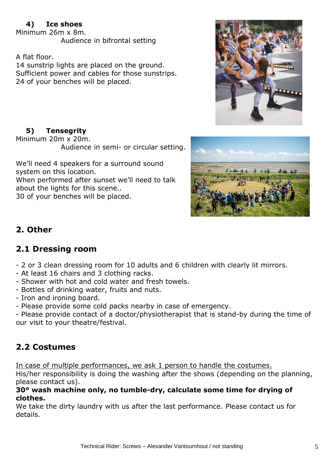## **4) Ice shoes**

Minimum 26m x 8m. Audience in bifrontal setting

A flat floor.

14 sunstrip lights are placed on the ground. Sufficient power and cables for those sunstrips. 24 of your benches will be placed.



## **5) Tensegrity**

Minimum 20m x 20m.

Audience in semi- or circular setting.

We'll need 4 speakers for a surround sound system on this location.

When performed after sunset we'll need to talk about the lights for this scene..

30 of your benches will be placed.



# **2. Other**

# **2.1 Dressing room**

- 2 or 3 clean dressing room for 10 adults and 6 children with clearly lit mirrors.
- At least 16 chairs and 3 clothing racks.
- Shower with hot and cold water and fresh towels.
- Bottles of drinking water, fruits and nuts.
- Iron and ironing board.
- Please provide some cold packs nearby in case of emergency.

- Please provide contact of a doctor/physiotherapist that is stand-by during the time of our visit to your theatre/festival.

# **2.2 Costumes**

In case of multiple performances, we ask 1 person to handle the costumes.

His/her responsibility is doing the washing after the shows (depending on the planning, please contact us).

#### **30° wash machine only, no tumble-dry, calculate some time for drying of clothes.**

We take the dirty laundry with us after the last performance. Please contact us for details.